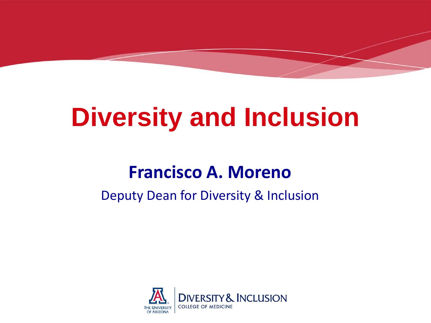# **Diversity and Inclusion**

#### **Francisco A. Moreno**

#### Deputy Dean for Diversity & Inclusion

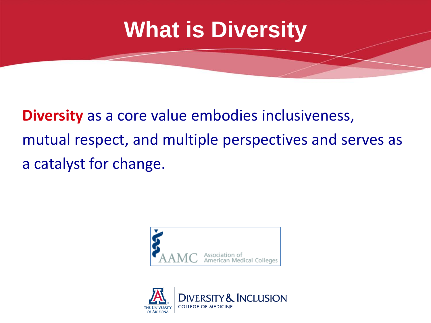#### **What is Diversity**

**Diversity** as a core value embodies inclusiveness, mutual respect, and multiple perspectives and serves as a catalyst for change.



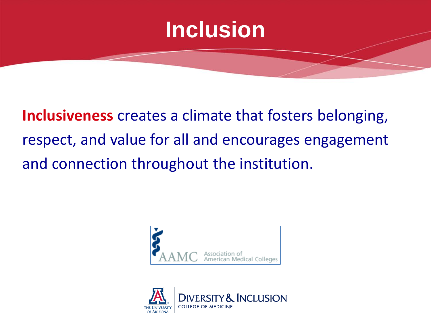

**Inclusiveness** creates a climate that fosters belonging, respect, and value for all and encourages engagement and connection throughout the institution.



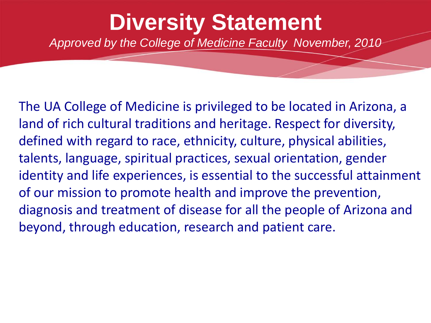#### **Diversity Statement**

*Approved by the College of Medicine Faculty November, 2010*

The UA College of Medicine is privileged to be located in Arizona, a land of rich cultural traditions and heritage. Respect for diversity, defined with regard to race, ethnicity, culture, physical abilities, talents, language, spiritual practices, sexual orientation, gender identity and life experiences, is essential to the successful attainment of our mission to promote health and improve the prevention, diagnosis and treatment of disease for all the people of Arizona and beyond, through education, research and patient care.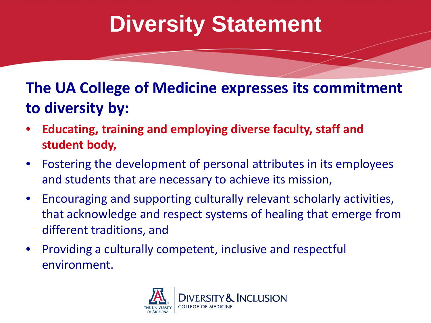### **Diversity Statement**

#### **The UA College of Medicine expresses its commitment to diversity by:**

- **Educating, training and employing diverse faculty, staff and student body,**
- Fostering the development of personal attributes in its employees and students that are necessary to achieve its mission,
- Encouraging and supporting culturally relevant scholarly activities, that acknowledge and respect systems of healing that emerge from different traditions, and
- Providing a culturally competent, inclusive and respectful environment.

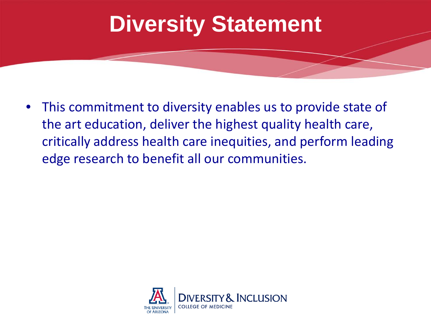#### **Diversity Statement**

• This commitment to diversity enables us to provide state of the art education, deliver the highest quality health care, critically address health care inequities, and perform leading edge research to benefit all our communities.

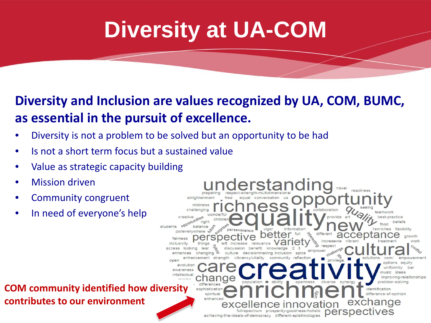## **Diversity at UA-COM**

#### **Diversity and Inclusion are values recognized by UA, COM, BUMC, as essential in the pursuit of excellence.**

understanding

full-spectrum prosperity-goodness-holistic

achieving-the-ideals-of-democracy different-epistimologies

exchange

perspectives

• Diversity is not a problem to be solved but an opportunity to be had

students

oper

awarenes intellectua

> sophistication spiritual enhanced

> > excel

- Is not a short term focus but a sustained value
- Value as strategic capacity building
- Mission driven
- Community congruent
- In need of everyone's help

#### **COM community identified how diversity contributes to our environment**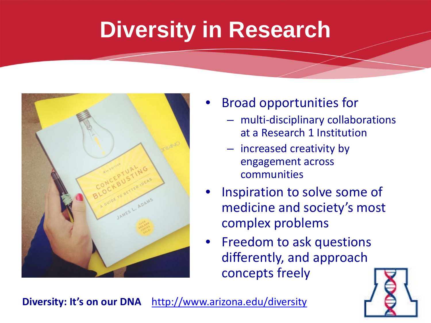#### **Diversity in Research**



- Broad opportunities for
	- multi-disciplinary collaborations at a Research 1 Institution
	- increased creativity by engagement across communities
- Inspiration to solve some of medicine and society's most complex problems
- Freedom to ask questions differently, and approach concepts freely



**Diversity: It's on our DNA** <http://www.arizona.edu/diversity>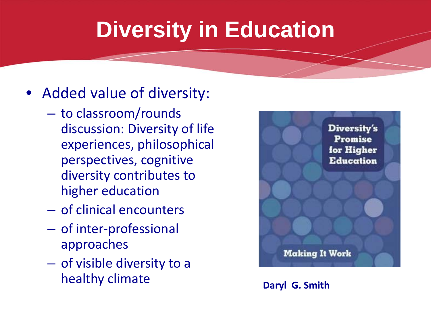## **Diversity in Education**

- Added value of diversity:
	- to classroom/rounds discussion: Diversity of life experiences, philosophical perspectives, cognitive diversity contributes to higher education
	- of clinical encounters
	- of inter-professional approaches
	- of visible diversity to a healthy climate **Daryl G. Smith**

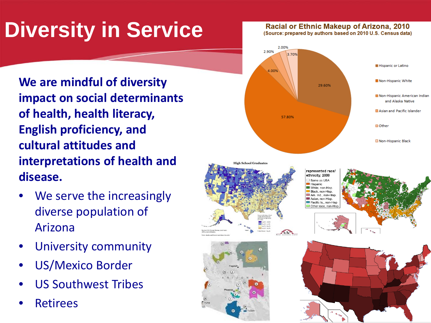## **Diversity in Service**

**We are mindful of diversity impact on social determinants of health, health literacy, English proficiency, and cultural attitudes and interpretations of health and disease.**

- We serve the increasingly diverse population of Arizona
- University community
- US/Mexico Border
- US Southwest Tribes
- **Retirees**

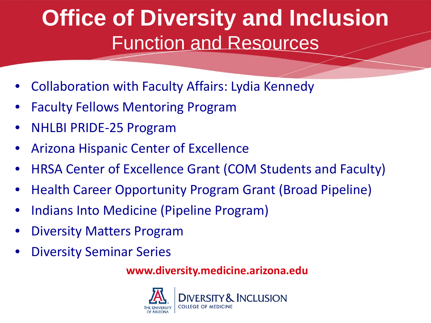#### **Office of Diversity and Inclusion** Function and Resources

- Collaboration with Faculty Affairs: Lydia Kennedy
- Faculty Fellows Mentoring Program
- NHLBI PRIDE-25 Program
- Arizona Hispanic Center of Excellence
- HRSA Center of Excellence Grant (COM Students and Faculty)
- Health Career Opportunity Program Grant (Broad Pipeline)
- Indians Into Medicine (Pipeline Program)
- Diversity Matters Program
- Diversity Seminar Series

**www.diversity.medicine.arizona.edu**